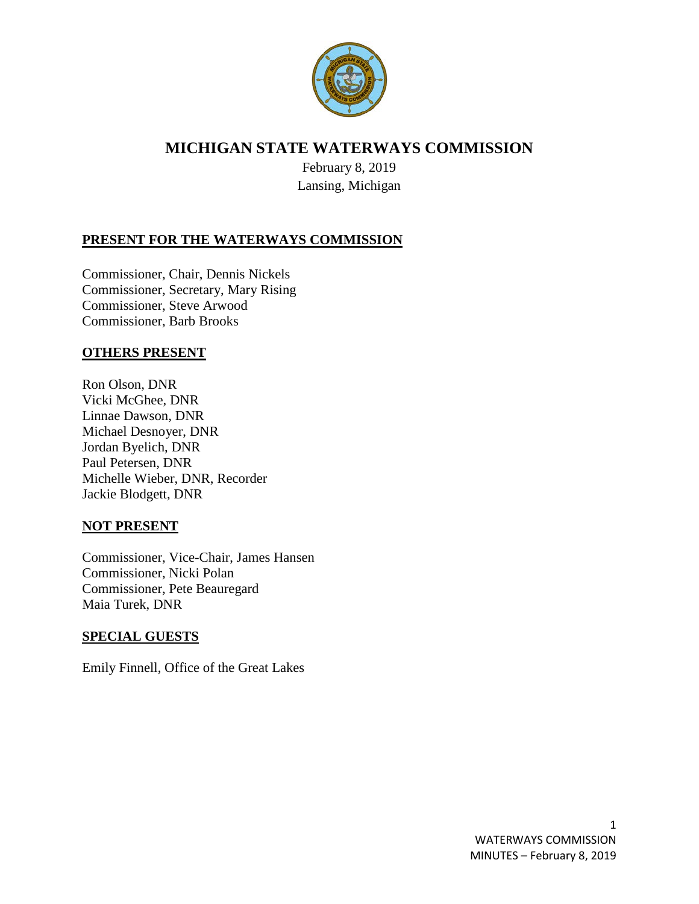

# **MICHIGAN STATE WATERWAYS COMMISSION**

February 8, 2019 Lansing, Michigan

## **PRESENT FOR THE WATERWAYS COMMISSION**

Commissioner, Chair, Dennis Nickels Commissioner, Secretary, Mary Rising Commissioner, Steve Arwood Commissioner, Barb Brooks

#### **OTHERS PRESENT**

Ron Olson, DNR Vicki McGhee, DNR Linnae Dawson, DNR Michael Desnoyer, DNR Jordan Byelich, DNR Paul Petersen, DNR Michelle Wieber, DNR, Recorder Jackie Blodgett, DNR

#### **NOT PRESENT**

Commissioner, Vice-Chair, James Hansen Commissioner, Nicki Polan Commissioner, Pete Beauregard Maia Turek, DNR

## **SPECIAL GUESTS**

Emily Finnell, Office of the Great Lakes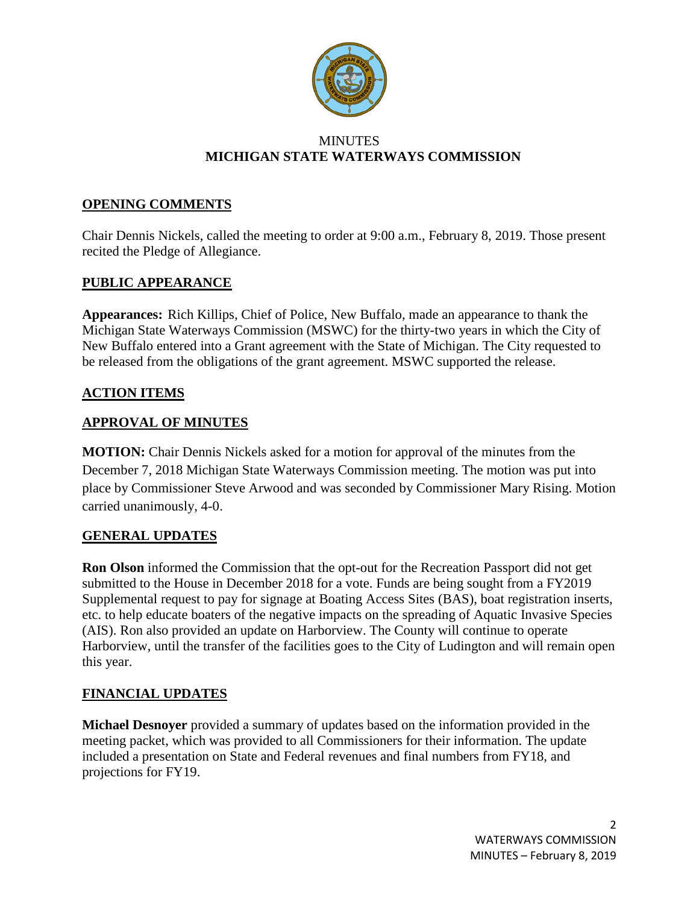

#### **MINUTES MICHIGAN STATE WATERWAYS COMMISSION**

## **OPENING COMMENTS**

Chair Dennis Nickels, called the meeting to order at 9:00 a.m., February 8, 2019. Those present recited the Pledge of Allegiance.

### **PUBLIC APPEARANCE**

**Appearances:** Rich Killips, Chief of Police, New Buffalo, made an appearance to thank the Michigan State Waterways Commission (MSWC) for the thirty-two years in which the City of New Buffalo entered into a Grant agreement with the State of Michigan. The City requested to be released from the obligations of the grant agreement. MSWC supported the release.

### **ACTION ITEMS**

#### **APPROVAL OF MINUTES**

**MOTION:** Chair Dennis Nickels asked for a motion for approval of the minutes from the December 7, 2018 Michigan State Waterways Commission meeting. The motion was put into place by Commissioner Steve Arwood and was seconded by Commissioner Mary Rising. Motion carried unanimously, 4-0.

#### **GENERAL UPDATES**

**Ron Olson** informed the Commission that the opt-out for the Recreation Passport did not get submitted to the House in December 2018 for a vote. Funds are being sought from a FY2019 Supplemental request to pay for signage at Boating Access Sites (BAS), boat registration inserts, etc. to help educate boaters of the negative impacts on the spreading of Aquatic Invasive Species (AIS). Ron also provided an update on Harborview. The County will continue to operate Harborview, until the transfer of the facilities goes to the City of Ludington and will remain open this year.

#### **FINANCIAL UPDATES**

**Michael Desnoyer** provided a summary of updates based on the information provided in the meeting packet, which was provided to all Commissioners for their information. The update included a presentation on State and Federal revenues and final numbers from FY18, and projections for FY19.